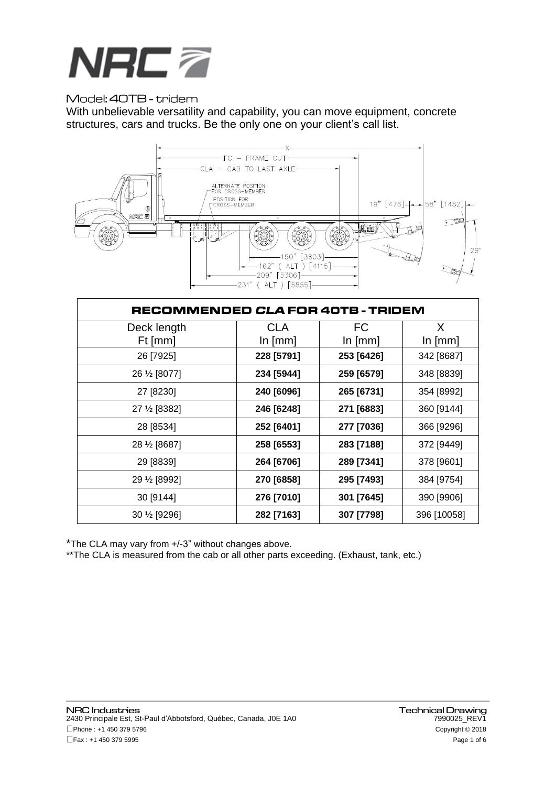

## Model: 40TB - tridem

With unbelievable versatility and capability, you can move equipment, concrete structures, cars and trucks. Be the only one on your client's call list.



| RECOMMENDED <i>CLA</i> FOR 40TB - TRIDEM |            |            |             |  |
|------------------------------------------|------------|------------|-------------|--|
| Deck length                              | <b>CLA</b> | FC         | X           |  |
| Ft [mm]                                  | $\ln$ [mm] | $\ln$ [mm] | $\ln$ [mm]  |  |
| 26 [7925]                                | 228 [5791] | 253 [6426] | 342 [8687]  |  |
| 26 1/2 [8077]                            | 234 [5944] | 259 [6579] | 348 [8839]  |  |
| 27 [8230]                                | 240 [6096] | 265 [6731] | 354 [8992]  |  |
| 27 1/2 [8382]                            | 246 [6248] | 271 [6883] | 360 [9144]  |  |
| 28 [8534]                                | 252 [6401] | 277 [7036] | 366 [9296]  |  |
| 28 1/2 [8687]                            | 258 [6553] | 283 [7188] | 372 [9449]  |  |
| 29 [8839]                                | 264 [6706] | 289 [7341] | 378 [9601]  |  |
| 29 1/2 [8992]                            | 270 [6858] | 295 [7493] | 384 [9754]  |  |
| 30 [9144]                                | 276 [7010] | 301 [7645] | 390 [9906]  |  |
| 30 1/2 [9296]                            | 282 [7163] | 307 [7798] | 396 [10058] |  |

\*The CLA may vary from +/-3" without changes above.

\*\* The CLA is measured from the cab or all other parts exceeding. (Exhaust, tank, etc.)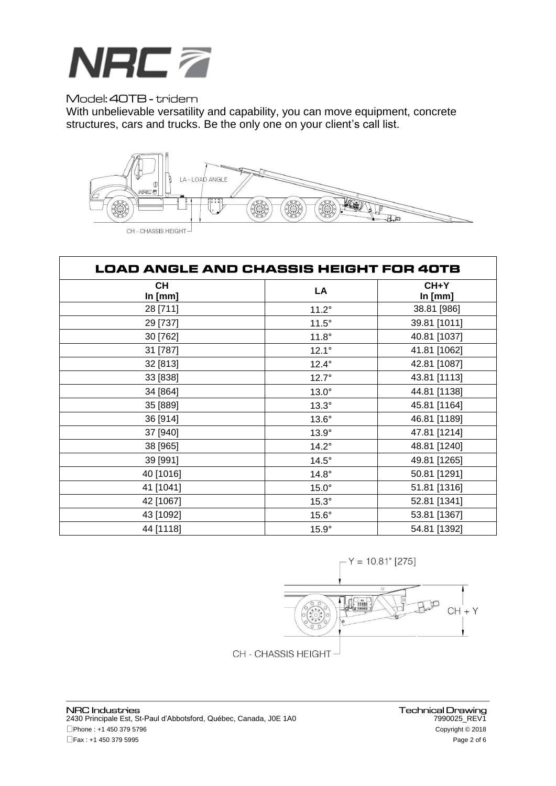

## Model: 40TB - tridem

With unbelievable versatility and capability, you can move equipment, concrete structures, cars and trucks. Be the only one on your client's call list.



| LOAD ANGLE AND CHASSIS HEIGHT FOR 40TB |              |                   |  |  |
|----------------------------------------|--------------|-------------------|--|--|
| <b>CH</b><br>In [mm]                   | LA           | $CH+Y$<br>In [mm] |  |  |
| 28 [711]                               | $11.2^\circ$ | 38.81 [986]       |  |  |
| 29 [737]                               | $11.5^\circ$ | 39.81 [1011]      |  |  |
| 30 [762]                               | $11.8^\circ$ | 40.81 [1037]      |  |  |
| 31 [787]                               | $12.1^\circ$ | 41.81 [1062]      |  |  |
| 32 [813]                               | $12.4^\circ$ | 42.81 [1087]      |  |  |
| 33 [838]                               | $12.7^\circ$ | 43.81 [1113]      |  |  |
| 34 [864]                               | $13.0^\circ$ | 44.81 [1138]      |  |  |
| 35 [889]                               | $13.3^\circ$ | 45.81 [1164]      |  |  |
| 36 [914]                               | $13.6^\circ$ | 46.81 [1189]      |  |  |
| 37 [940]                               | $13.9^\circ$ | 47.81 [1214]      |  |  |
| 38 [965]                               | $14.2^\circ$ | 48.81 [1240]      |  |  |
| 39 [991]                               | $14.5^\circ$ | 49.81 [1265]      |  |  |
| 40 [1016]                              | $14.8^\circ$ | 50.81 [1291]      |  |  |
| 41 [1041]                              | $15.0^\circ$ | 51.81 [1316]      |  |  |
| 42 [1067]                              | $15.3^\circ$ | 52.81 [1341]      |  |  |
| 43 [1092]                              | $15.6^\circ$ | 53.81 [1367]      |  |  |
| 44 [1118]                              | $15.9^\circ$ | 54.81 [1392]      |  |  |